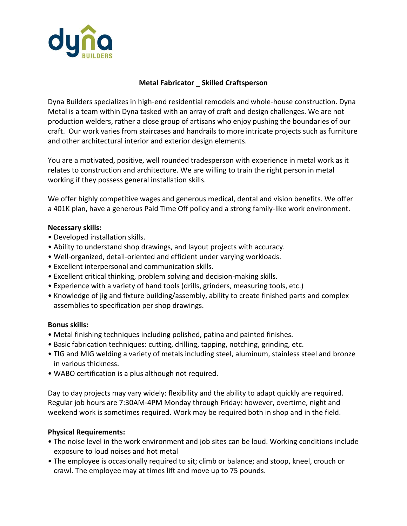

# **Metal Fabricator \_ Skilled Craftsperson**

Dyna Builders specializes in high-end residential remodels and whole-house construction. Dyna Metal is a team within Dyna tasked with an array of craft and design challenges. We are not production welders, rather a close group of artisans who enjoy pushing the boundaries of our craft. Our work varies from staircases and handrails to more intricate projects such as furniture and other architectural interior and exterior design elements.

You are a motivated, positive, well rounded tradesperson with experience in metal work as it relates to construction and architecture. We are willing to train the right person in metal working if they possess general installation skills.

We offer highly competitive wages and generous medical, dental and vision benefits. We offer a 401K plan, have a generous Paid Time Off policy and a strong family-like work environment.

### **Necessary skills:**

- Developed installation skills.
- Ability to understand shop drawings, and layout projects with accuracy.
- Well-organized, detail-oriented and efficient under varying workloads.
- Excellent interpersonal and communication skills.
- Excellent critical thinking, problem solving and decision-making skills.
- Experience with a variety of hand tools (drills, grinders, measuring tools, etc.)
- Knowledge of jig and fixture building/assembly, ability to create finished parts and complex assemblies to specification per shop drawings.

### **Bonus skills:**

- Metal finishing techniques including polished, patina and painted finishes.
- Basic fabrication techniques: cutting, drilling, tapping, notching, grinding, etc.
- TIG and MIG welding a variety of metals including steel, aluminum, stainless steel and bronze in various thickness.
- WABO certification is a plus although not required.

Day to day projects may vary widely: flexibility and the ability to adapt quickly are required. Regular job hours are 7:30AM-4PM Monday through Friday: however, overtime, night and weekend work is sometimes required. Work may be required both in shop and in the field.

### **Physical Requirements:**

- The noise level in the work environment and job sites can be loud. Working conditions include exposure to loud noises and hot metal
- The employee is occasionally required to sit; climb or balance; and stoop, kneel, crouch or crawl. The employee may at times lift and move up to 75 pounds.